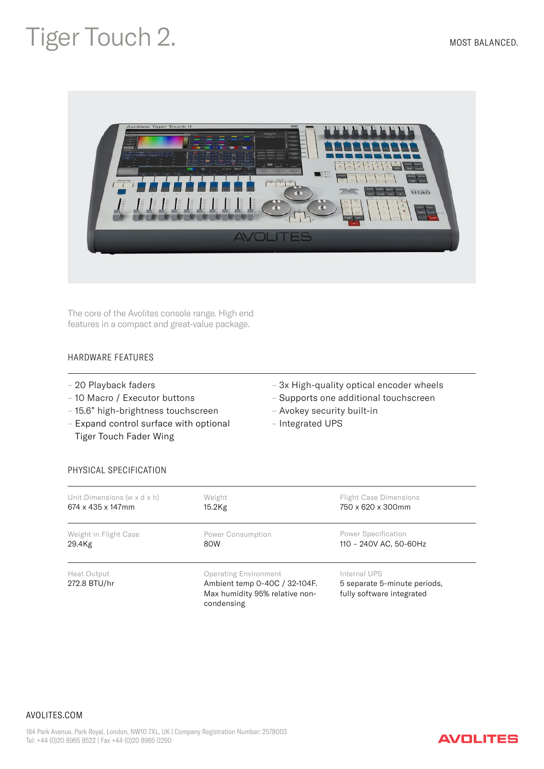## Tiger Touch 2. MOST BALANCED.



The core of the Avolites console range. High end features in a compact and great-value package.

## HARDWARE FEATURES

- 20 Playback faders
- 10 Macro / Executor buttons
- 15.6" high-brightness touchscreen
- Expand control surface with optional Tiger Touch Fader Wing
- 3x High-quality optical encoder wheels
- Supports one additional touchscreen
- Avokey security built-in
- Integrated UPS

## PHYSICAL SPECIFICATION

| Unit Dimensions (w x d x h) | Weight                                                                                                        | <b>Flight Case Dimensions</b>                                             |
|-----------------------------|---------------------------------------------------------------------------------------------------------------|---------------------------------------------------------------------------|
| 674 x 435 x 147mm           | 15.2Kg                                                                                                        | 750 x 620 x 300mm                                                         |
| Weight in Flight Case       | Power Consumption                                                                                             | Power Specification                                                       |
| 29.4Kg                      | 80W                                                                                                           | 110 - 240V AC, 50-60Hz                                                    |
| Heat Output<br>272.8 BTU/hr | <b>Operating Environment</b><br>Ambient temp 0-40C / 32-104F.<br>Max humidity 95% relative non-<br>condensing | Internal UPS<br>5 separate 5-minute periods,<br>fully software integrated |